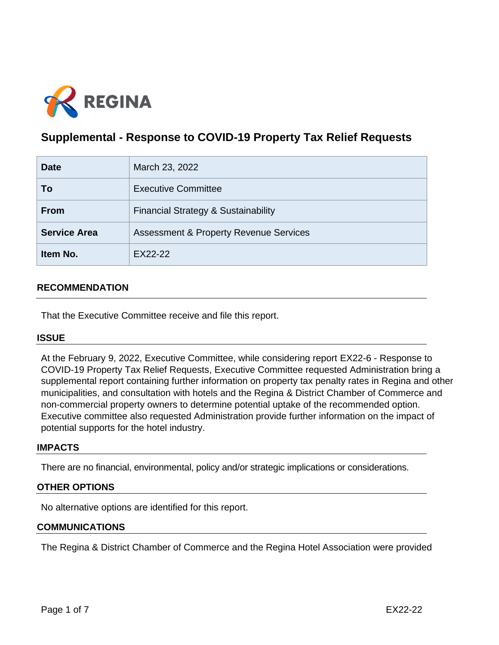

# **Supplemental - Response to COVID-19 Property Tax Relief Requests**

| <b>Date</b>         | March 23, 2022                                    |  |
|---------------------|---------------------------------------------------|--|
| To                  | <b>Executive Committee</b>                        |  |
| <b>From</b>         | Financial Strategy & Sustainability               |  |
| <b>Service Area</b> | <b>Assessment &amp; Property Revenue Services</b> |  |
| Item No.            | EX22-22                                           |  |

## **RECOMMENDATION**

That the Executive Committee receive and file this report.

#### **ISSUE**

At the February 9, 2022, Executive Committee, while considering report EX22-6 - Response to COVID-19 Property Tax Relief Requests, Executive Committee requested Administration bring a supplemental report containing further information on property tax penalty rates in Regina and other municipalities, and consultation with hotels and the Regina & District Chamber of Commerce and non-commercial property owners to determine potential uptake of the recommended option. Executive committee also requested Administration provide further information on the impact of potential supports for the hotel industry.

#### **IMPACTS**

There are no financial, environmental, policy and/or strategic implications or considerations.

#### **OTHER OPTIONS**

No alternative options are identified for this report.

#### **COMMUNICATIONS**

The Regina & District Chamber of Commerce and the Regina Hotel Association were provided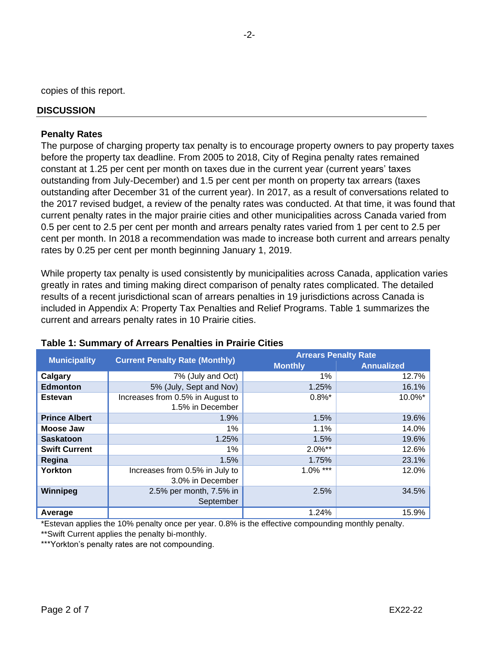copies of this report.

#### **DISCUSSION**

#### **Penalty Rates**

The purpose of charging property tax penalty is to encourage property owners to pay property taxes before the property tax deadline. From 2005 to 2018, City of Regina penalty rates remained constant at 1.25 per cent per month on taxes due in the current year (current years' taxes outstanding from July-December) and 1.5 per cent per month on property tax arrears (taxes outstanding after December 31 of the current year). In 2017, as a result of conversations related to the 2017 revised budget, a review of the penalty rates was conducted. At that time, it was found that current penalty rates in the major prairie cities and other municipalities across Canada varied from 0.5 per cent to 2.5 per cent per month and arrears penalty rates varied from 1 per cent to 2.5 per cent per month. In 2018 a recommendation was made to increase both current and arrears penalty rates by 0.25 per cent per month beginning January 1, 2019.

While property tax penalty is used consistently by municipalities across Canada, application varies greatly in rates and timing making direct comparison of penalty rates complicated. The detailed results of a recent jurisdictional scan of arrears penalties in 19 jurisdictions across Canada is included in Appendix A: Property Tax Penalties and Relief Programs. Table 1 summarizes the current and arrears penalty rates in 10 Prairie cities.

| <b>Municipality</b>  | <b>Current Penalty Rate (Monthly)</b> | <b>Arrears Penalty Rate</b> |                   |
|----------------------|---------------------------------------|-----------------------------|-------------------|
|                      |                                       | <b>Monthly</b>              | <b>Annualized</b> |
| Calgary              | 7% (July and Oct)                     | $1\%$                       | 12.7%             |
| <b>Edmonton</b>      | 5% (July, Sept and Nov)               | 1.25%                       | 16.1%             |
| <b>Estevan</b>       | Increases from 0.5% in August to      | $0.8\%$ *                   | 10.0%*            |
|                      | 1.5% in December                      |                             |                   |
| <b>Prince Albert</b> | 1.9%                                  | 1.5%                        | 19.6%             |
| Moose Jaw            | 1%                                    | 1.1%                        | 14.0%             |
| <b>Saskatoon</b>     | 1.25%                                 | 1.5%                        | 19.6%             |
| <b>Swift Current</b> | $1\%$                                 | 2.0%**                      | 12.6%             |
| Regina               | 1.5%                                  | 1.75%                       | 23.1%             |
| Yorkton              | Increases from 0.5% in July to        | $1.0\%$ ***                 | 12.0%             |
|                      | 3.0% in December                      |                             |                   |
| Winnipeg             | 2.5% per month, 7.5% in               | 2.5%                        | 34.5%             |
|                      | September                             |                             |                   |
| Average              |                                       | 1.24%                       | 15.9%             |

#### **Table 1: Summary of Arrears Penalties in Prairie Cities**

\*Estevan applies the 10% penalty once per year. 0.8% is the effective compounding monthly penalty.

\*\*Swift Current applies the penalty bi-monthly.

\*\*\*Yorkton's penalty rates are not compounding.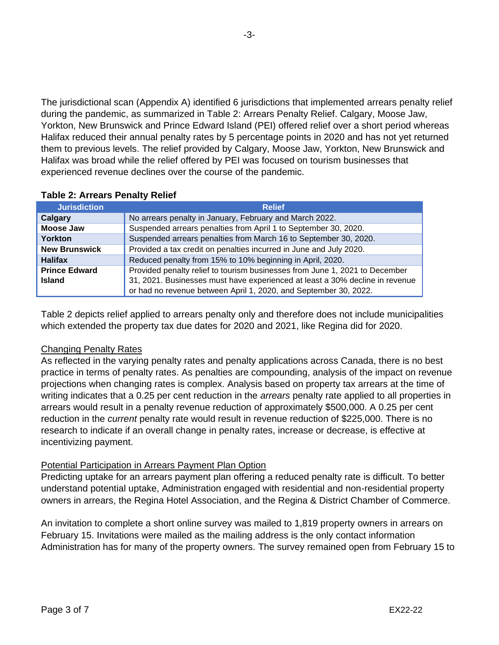The jurisdictional scan (Appendix A) identified 6 jurisdictions that implemented arrears penalty relief during the pandemic, as summarized in Table 2: Arrears Penalty Relief. Calgary, Moose Jaw, Yorkton, New Brunswick and Prince Edward Island (PEI) offered relief over a short period whereas Halifax reduced their annual penalty rates by 5 percentage points in 2020 and has not yet returned them to previous levels. The relief provided by Calgary, Moose Jaw, Yorkton, New Brunswick and Halifax was broad while the relief offered by PEI was focused on tourism businesses that experienced revenue declines over the course of the pandemic.

| <b>Jurisdiction</b>  | <b>Relief</b>                                                                |
|----------------------|------------------------------------------------------------------------------|
| Calgary              | No arrears penalty in January, February and March 2022.                      |
| <b>Moose Jaw</b>     | Suspended arrears penalties from April 1 to September 30, 2020.              |
| Yorkton              | Suspended arrears penalties from March 16 to September 30, 2020.             |
| <b>New Brunswick</b> | Provided a tax credit on penalties incurred in June and July 2020.           |
| <b>Halifax</b>       | Reduced penalty from 15% to 10% beginning in April, 2020.                    |
| <b>Prince Edward</b> | Provided penalty relief to tourism businesses from June 1, 2021 to December  |
| <b>Island</b>        | 31, 2021. Businesses must have experienced at least a 30% decline in revenue |
|                      | or had no revenue between April 1, 2020, and September 30, 2022.             |

## **Table 2: Arrears Penalty Relief**

Table 2 depicts relief applied to arrears penalty only and therefore does not include municipalities which extended the property tax due dates for 2020 and 2021, like Regina did for 2020.

#### Changing Penalty Rates

As reflected in the varying penalty rates and penalty applications across Canada, there is no best practice in terms of penalty rates. As penalties are compounding, analysis of the impact on revenue projections when changing rates is complex. Analysis based on property tax arrears at the time of writing indicates that a 0.25 per cent reduction in the *arrears* penalty rate applied to all properties in arrears would result in a penalty revenue reduction of approximately \$500,000. A 0.25 per cent reduction in the *current* penalty rate would result in revenue reduction of \$225,000. There is no research to indicate if an overall change in penalty rates, increase or decrease, is effective at incentivizing payment.

#### Potential Participation in Arrears Payment Plan Option

Predicting uptake for an arrears payment plan offering a reduced penalty rate is difficult. To better understand potential uptake, Administration engaged with residential and non-residential property owners in arrears, the Regina Hotel Association, and the Regina & District Chamber of Commerce.

An invitation to complete a short online survey was mailed to 1,819 property owners in arrears on February 15. Invitations were mailed as the mailing address is the only contact information Administration has for many of the property owners. The survey remained open from February 15 to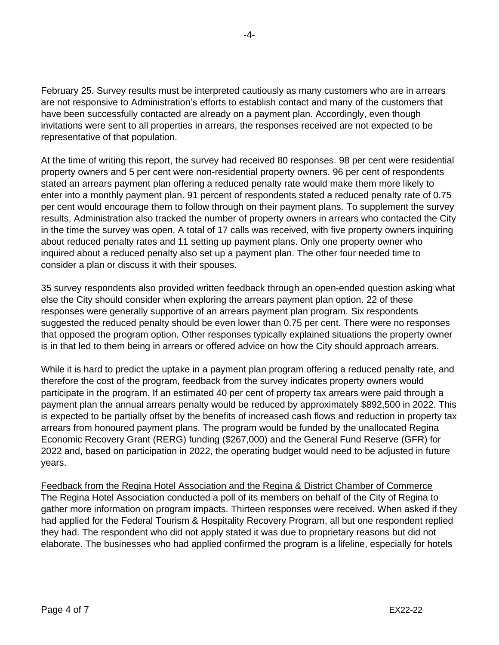February 25. Survey results must be interpreted cautiously as many customers who are in arrears are not responsive to Administration's efforts to establish contact and many of the customers that have been successfully contacted are already on a payment plan. Accordingly, even though invitations were sent to all properties in arrears, the responses received are not expected to be representative of that population.

At the time of writing this report, the survey had received 80 responses. 98 per cent were residential property owners and 5 per cent were non-residential property owners. 96 per cent of respondents stated an arrears payment plan offering a reduced penalty rate would make them more likely to enter into a monthly payment plan. 91 percent of respondents stated a reduced penalty rate of 0.75 per cent would encourage them to follow through on their payment plans. To supplement the survey results, Administration also tracked the number of property owners in arrears who contacted the City in the time the survey was open. A total of 17 calls was received, with five property owners inquiring about reduced penalty rates and 11 setting up payment plans. Only one property owner who inquired about a reduced penalty also set up a payment plan. The other four needed time to consider a plan or discuss it with their spouses.

35 survey respondents also provided written feedback through an open-ended question asking what else the City should consider when exploring the arrears payment plan option. 22 of these responses were generally supportive of an arrears payment plan program. Six respondents suggested the reduced penalty should be even lower than 0.75 per cent. There were no responses that opposed the program option. Other responses typically explained situations the property owner is in that led to them being in arrears or offered advice on how the City should approach arrears.

While it is hard to predict the uptake in a payment plan program offering a reduced penalty rate, and therefore the cost of the program, feedback from the survey indicates property owners would participate in the program. If an estimated 40 per cent of property tax arrears were paid through a payment plan the annual arrears penalty would be reduced by approximately \$892,500 in 2022. This is expected to be partially offset by the benefits of increased cash flows and reduction in property tax arrears from honoured payment plans. The program would be funded by the unallocated Regina Economic Recovery Grant (RERG) funding (\$267,000) and the General Fund Reserve (GFR) for 2022 and, based on participation in 2022, the operating budget would need to be adjusted in future years.

Feedback from the Regina Hotel Association and the Regina & District Chamber of Commerce The Regina Hotel Association conducted a poll of its members on behalf of the City of Regina to gather more information on program impacts. Thirteen responses were received. When asked if they had applied for the Federal Tourism & Hospitality Recovery Program, all but one respondent replied they had. The respondent who did not apply stated it was due to proprietary reasons but did not elaborate. The businesses who had applied confirmed the program is a lifeline, especially for hotels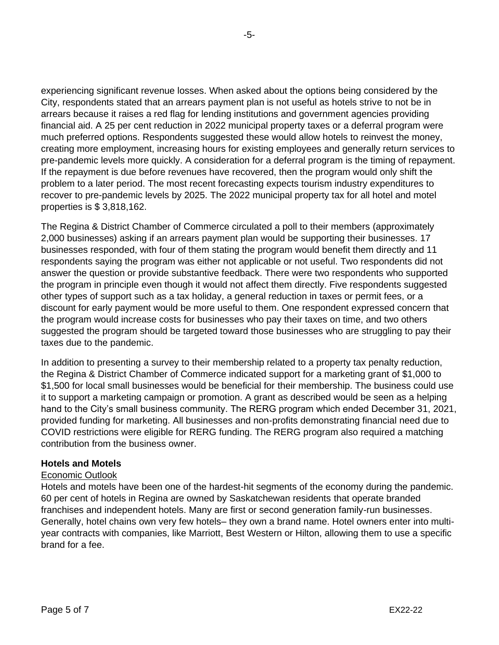experiencing significant revenue losses. When asked about the options being considered by the City, respondents stated that an arrears payment plan is not useful as hotels strive to not be in arrears because it raises a red flag for lending institutions and government agencies providing financial aid. A 25 per cent reduction in 2022 municipal property taxes or a deferral program were much preferred options. Respondents suggested these would allow hotels to reinvest the money, creating more employment, increasing hours for existing employees and generally return services to pre-pandemic levels more quickly. A consideration for a deferral program is the timing of repayment. If the repayment is due before revenues have recovered, then the program would only shift the problem to a later period. The most recent forecasting expects tourism industry expenditures to recover to pre-pandemic levels by 2025. The 2022 municipal property tax for all hotel and motel properties is \$ 3,818,162.

The Regina & District Chamber of Commerce circulated a poll to their members (approximately 2,000 businesses) asking if an arrears payment plan would be supporting their businesses. 17 businesses responded, with four of them stating the program would benefit them directly and 11 respondents saying the program was either not applicable or not useful. Two respondents did not answer the question or provide substantive feedback. There were two respondents who supported the program in principle even though it would not affect them directly. Five respondents suggested other types of support such as a tax holiday, a general reduction in taxes or permit fees, or a discount for early payment would be more useful to them. One respondent expressed concern that the program would increase costs for businesses who pay their taxes on time, and two others suggested the program should be targeted toward those businesses who are struggling to pay their taxes due to the pandemic.

In addition to presenting a survey to their membership related to a property tax penalty reduction, the Regina & District Chamber of Commerce indicated support for a marketing grant of \$1,000 to \$1,500 for local small businesses would be beneficial for their membership. The business could use it to support a marketing campaign or promotion. A grant as described would be seen as a helping hand to the City's small business community. The RERG program which ended December 31, 2021, provided funding for marketing. All businesses and non-profits demonstrating financial need due to COVID restrictions were eligible for RERG funding. The RERG program also required a matching contribution from the business owner.

# **Hotels and Motels**

#### Economic Outlook

Hotels and motels have been one of the hardest-hit segments of the economy during the pandemic. 60 per cent of hotels in Regina are owned by Saskatchewan residents that operate branded franchises and independent hotels. Many are first or second generation family-run businesses. Generally, hotel chains own very few hotels– they own a brand name. Hotel owners enter into multiyear contracts with companies, like Marriott, Best Western or Hilton, allowing them to use a specific brand for a fee.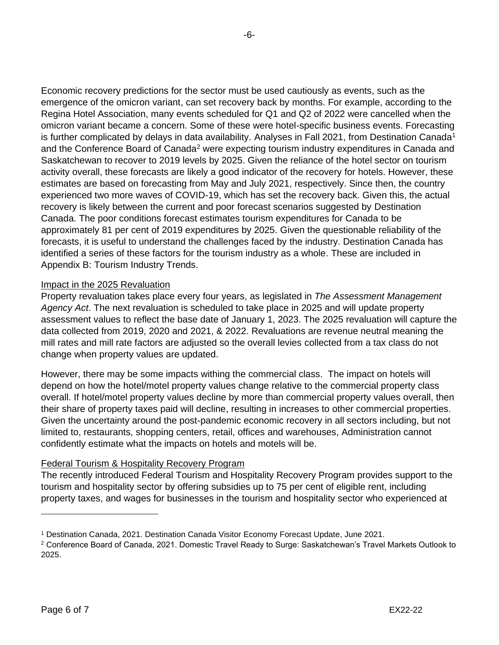Economic recovery predictions for the sector must be used cautiously as events, such as the emergence of the omicron variant, can set recovery back by months. For example, according to the Regina Hotel Association, many events scheduled for Q1 and Q2 of 2022 were cancelled when the omicron variant became a concern. Some of these were hotel-specific business events. Forecasting is further complicated by delays in data availability. Analyses in Fall 2021, from Destination Canada<sup>1</sup> and the Conference Board of Canada<sup>2</sup> were expecting tourism industry expenditures in Canada and Saskatchewan to recover to 2019 levels by 2025. Given the reliance of the hotel sector on tourism activity overall, these forecasts are likely a good indicator of the recovery for hotels. However, these estimates are based on forecasting from May and July 2021, respectively. Since then, the country experienced two more waves of COVID-19, which has set the recovery back. Given this, the actual recovery is likely between the current and poor forecast scenarios suggested by Destination Canada. The poor conditions forecast estimates tourism expenditures for Canada to be approximately 81 per cent of 2019 expenditures by 2025. Given the questionable reliability of the forecasts, it is useful to understand the challenges faced by the industry. Destination Canada has identified a series of these factors for the tourism industry as a whole. These are included in Appendix B: Tourism Industry Trends.

# Impact in the 2025 Revaluation

Property revaluation takes place every four years, as legislated in *The Assessment Management Agency Act*. The next revaluation is scheduled to take place in 2025 and will update property assessment values to reflect the base date of January 1, 2023. The 2025 revaluation will capture the data collected from 2019, 2020 and 2021, & 2022. Revaluations are revenue neutral meaning the mill rates and mill rate factors are adjusted so the overall levies collected from a tax class do not change when property values are updated.

However, there may be some impacts withing the commercial class. The impact on hotels will depend on how the hotel/motel property values change relative to the commercial property class overall. If hotel/motel property values decline by more than commercial property values overall, then their share of property taxes paid will decline, resulting in increases to other commercial properties. Given the uncertainty around the post-pandemic economic recovery in all sectors including, but not limited to, restaurants, shopping centers, retail, offices and warehouses, Administration cannot confidently estimate what the impacts on hotels and motels will be.

# Federal Tourism & Hospitality Recovery Program

The recently introduced Federal Tourism and Hospitality Recovery Program provides support to the tourism and hospitality sector by offering subsidies up to 75 per cent of eligible rent, including property taxes, and wages for businesses in the tourism and hospitality sector who experienced at

<sup>1</sup> Destination Canada, 2021. Destination Canada Visitor Economy Forecast Update, June 2021.

<sup>2</sup> Conference Board of Canada, 2021. Domestic Travel Ready to Surge: Saskatchewan's Travel Markets Outlook to 2025.